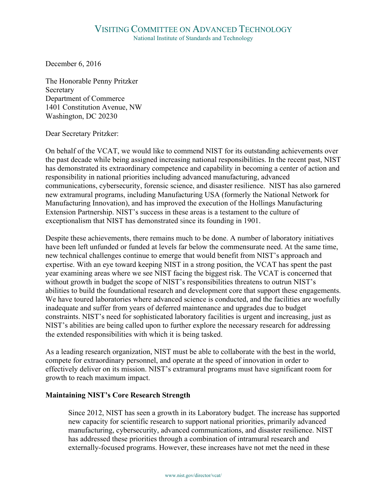December 6, 2016

The Honorable Penny Pritzker Secretary Department of Commerce 1401 Constitution Avenue, NW Washington, DC 20230

Dear Secretary Pritzker:

On behalf of the VCAT, we would like to commend NIST for its outstanding achievements over the past decade while being assigned increasing national responsibilities. In the recent past, NIST has demonstrated its extraordinary competence and capability in becoming a center of action and responsibility in national priorities including advanced manufacturing, advanced communications, cybersecurity, forensic science, and disaster resilience. NIST has also garnered new extramural programs, including Manufacturing USA (formerly the National Network for Manufacturing Innovation), and has improved the execution of the Hollings Manufacturing Extension Partnership. NIST's success in these areas is a testament to the culture of exceptionalism that NIST has demonstrated since its founding in 1901.

Despite these achievements, there remains much to be done. A number of laboratory initiatives have been left unfunded or funded at levels far below the commensurate need. At the same time, new technical challenges continue to emerge that would benefit from NIST's approach and expertise. With an eye toward keeping NIST in a strong position, the VCAT has spent the past year examining areas where we see NIST facing the biggest risk. The VCAT is concerned that without growth in budget the scope of NIST's responsibilities threatens to outrun NIST's abilities to build the foundational research and development core that support these engagements. We have toured laboratories where advanced science is conducted, and the facilities are woefully inadequate and suffer from years of deferred maintenance and upgrades due to budget constraints. NIST's need for sophisticated laboratory facilities is urgent and increasing, just as NIST's abilities are being called upon to further explore the necessary research for addressing the extended responsibilities with which it is being tasked.

As a leading research organization, NIST must be able to collaborate with the best in the world, compete for extraordinary personnel, and operate at the speed of innovation in order to effectively deliver on its mission. NIST's extramural programs must have significant room for growth to reach maximum impact.

## **Maintaining NIST's Core Research Strength**

Since 2012, NIST has seen a growth in its Laboratory budget. The increase has supported new capacity for scientific research to support national priorities, primarily advanced manufacturing, cybersecurity, advanced communications, and disaster resilience. NIST has addressed these priorities through a combination of intramural research and externally-focused programs. However, these increases have not met the need in these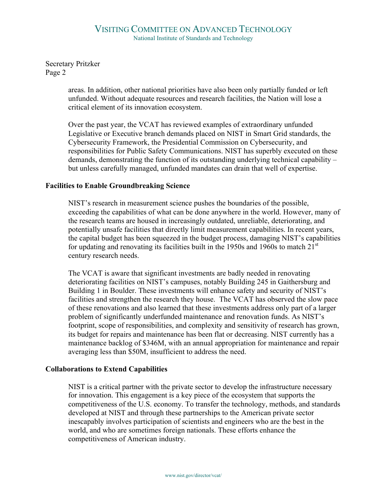Secretary Pritzker Page 2

> areas. In addition, other national priorities have also been only partially funded or left unfunded. Without adequate resources and research facilities, the Nation will lose a critical element of its innovation ecosystem.

Over the past year, the VCAT has reviewed examples of extraordinary unfunded Legislative or Executive branch demands placed on NIST in Smart Grid standards, the Cybersecurity Framework, the Presidential Commission on Cybersecurity, and responsibilities for Public Safety Communications. NIST has superbly executed on these demands, demonstrating the function of its outstanding underlying technical capability – but unless carefully managed, unfunded mandates can drain that well of expertise.

## **Facilities to Enable Groundbreaking Science**

NIST's research in measurement science pushes the boundaries of the possible, exceeding the capabilities of what can be done anywhere in the world. However, many of the research teams are housed in increasingly outdated, unreliable, deteriorating, and potentially unsafe facilities that directly limit measurement capabilities. In recent years, the capital budget has been squeezed in the budget process, damaging NIST's capabilities for updating and renovating its facilities built in the 1950s and 1960s to match  $21<sup>st</sup>$ century research needs.

The VCAT is aware that significant investments are badly needed in renovating deteriorating facilities on NIST's campuses, notably Building 245 in Gaithersburg and Building 1 in Boulder. These investments will enhance safety and security of NIST's facilities and strengthen the research they house. The VCAT has observed the slow pace of these renovations and also learned that these investments address only part of a larger problem of significantly underfunded maintenance and renovation funds. As NIST's footprint, scope of responsibilities, and complexity and sensitivity of research has grown, its budget for repairs and maintenance has been flat or decreasing. NIST currently has a maintenance backlog of \$346M, with an annual appropriation for maintenance and repair averaging less than \$50M, insufficient to address the need.

## **Collaborations to Extend Capabilities**

NIST is a critical partner with the private sector to develop the infrastructure necessary for innovation. This engagement is a key piece of the ecosystem that supports the competitiveness of the U.S. economy. To transfer the technology, methods, and standards developed at NIST and through these partnerships to the American private sector inescapably involves participation of scientists and engineers who are the best in the world, and who are sometimes foreign nationals. These efforts enhance the competitiveness of American industry.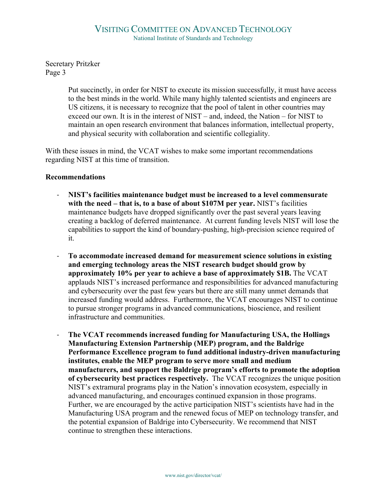Secretary Pritzker Page 3

> Put succinctly, in order for NIST to execute its mission successfully, it must have access to the best minds in the world. While many highly talented scientists and engineers are US citizens, it is necessary to recognize that the pool of talent in other countries may exceed our own. It is in the interest of NIST – and, indeed, the Nation – for NIST to maintain an open research environment that balances information, intellectual property, and physical security with collaboration and scientific collegiality.

With these issues in mind, the VCAT wishes to make some important recommendations regarding NIST at this time of transition.

## **Recommendations**

- **NIST's facilities maintenance budget must be increased to a level commensurate with the need – that is, to a base of about \$107M per year.** NIST's facilities maintenance budgets have dropped significantly over the past several years leaving creating a backlog of deferred maintenance. At current funding levels NIST will lose the capabilities to support the kind of boundary-pushing, high-precision science required of it.
- **To accommodate increased demand for measurement science solutions in existing and emerging technology areas the NIST research budget should grow by approximately 10% per year to achieve a base of approximately \$1B.** The VCAT applauds NIST's increased performance and responsibilities for advanced manufacturing and cybersecurity over the past few years but there are still many unmet demands that increased funding would address. Furthermore, the VCAT encourages NIST to continue to pursue stronger programs in advanced communications, bioscience, and resilient infrastructure and communities.
- **The VCAT recommends increased funding for Manufacturing USA, the Hollings Manufacturing Extension Partnership (MEP) program, and the Baldrige Performance Excellence program to fund additional industry-driven manufacturing institutes, enable the MEP program to serve more small and medium manufacturers, and support the Baldrige program's efforts to promote the adoption of cybersecurity best practices respectively.** The VCAT recognizes the unique position NIST's extramural programs play in the Nation's innovation ecosystem, especially in advanced manufacturing, and encourages continued expansion in those programs. Further, we are encouraged by the active participation NIST's scientists have had in the Manufacturing USA program and the renewed focus of MEP on technology transfer, and the potential expansion of Baldrige into Cybersecurity. We recommend that NIST continue to strengthen these interactions.